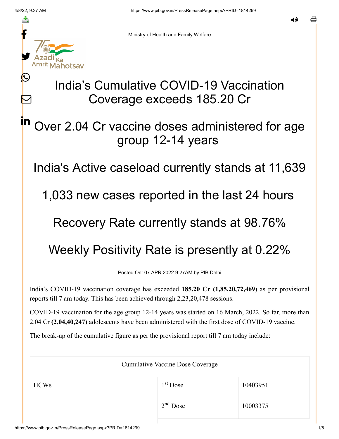Ŀ

 $\bm{\nabla}$ 

in



Ministry of Health and Family Welfare

# India's Cumulative COVID-19 Vaccination Coverage exceeds 185.20 Cr

## Over 2.04 Cr vaccine doses administered for age group 12-14 years

India's Active caseload currently stands at 11,639

1,033 new cases reported in the last 24 hours

### Recovery Rate currently stands at 98.76%

# Weekly Positivity Rate is presently at 0.22%

Posted On: 07 APR 2022 9:27AM by PIB Delhi

India's COVID-19 vaccination coverage has exceeded **185.20 Cr (1,85,20,72,469)** as per provisional reports till 7 am today. This has been achieved through 2,23,20,478 sessions.

COVID-19 vaccination for the age group 12-14 years was started on 16 March, 2022. So far, more than 2.04 Cr **(2,04,40,247)** adolescents have been administered with the first dose of COVID-19 vaccine.

The break-up of the cumulative figure as per the provisional report till 7 am today include:

| <b>Cumulative Vaccine Dose Coverage</b> |            |          |
|-----------------------------------------|------------|----------|
| <b>HCWs</b>                             | $1st$ Dose | 10403951 |
|                                         | $2nd$ Dose | 10003375 |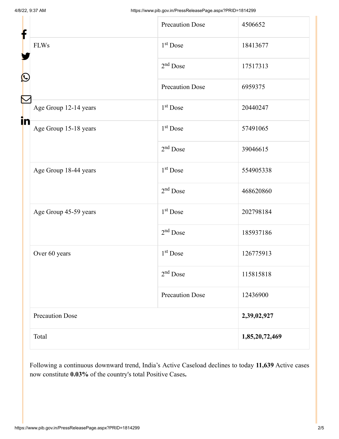|                   |                        | <b>Precaution Dose</b> | 4506652        |
|-------------------|------------------------|------------------------|----------------|
| f                 |                        |                        |                |
|                   | <b>FLWs</b>            | 1 <sup>st</sup> Dose   | 18413677       |
| $\mathbf{\Omega}$ |                        | $2nd$ Dose             | 17517313       |
|                   |                        | <b>Precaution Dose</b> | 6959375        |
| Ñ<br>in           | Age Group 12-14 years  | 1 <sup>st</sup> Dose   | 20440247       |
|                   | Age Group 15-18 years  | 1 <sup>st</sup> Dose   | 57491065       |
|                   |                        | $2nd$ Dose             | 39046615       |
|                   | Age Group 18-44 years  | 1 <sup>st</sup> Dose   | 554905338      |
|                   |                        | $2nd$ Dose             | 468620860      |
|                   | Age Group 45-59 years  | 1 <sup>st</sup> Dose   | 202798184      |
|                   |                        | $2nd$ Dose             | 185937186      |
|                   | Over 60 years          | $1st$ Dose             | 126775913      |
|                   |                        | $2nd$ Dose             | 115815818      |
|                   |                        | <b>Precaution Dose</b> | 12436900       |
|                   | <b>Precaution Dose</b> |                        | 2,39,02,927    |
|                   | Total                  |                        | 1,85,20,72,469 |

Following a continuous downward trend, India's Active Caseload declines to today **11,639** Active cases now constitute **0.03%** of the country's total Positive Cases**.**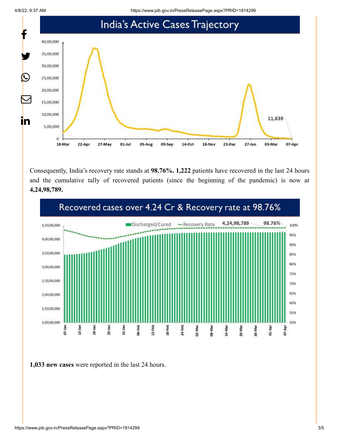4/8/22, 9:37 AM https://www.pib.gov.in/PressReleasePage.aspx?PRID=1814299



Consequently, India's recovery rate stands at **98.76%. 1,222** patients have recovered in the last 24 hours and the cumulative tally of recovered patients (since the beginning of the pandemic) is now at **4,24,98,789.**



**1,033 new cases** were reported in the last 24 hours.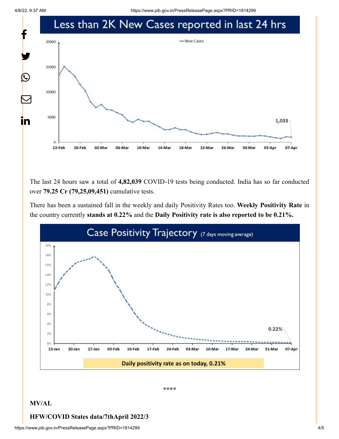

The last 24 hours saw a total of **4,82,039** COVID-19 tests being conducted. India has so far conducted over **79.25 Cr (79,25,09,451)** cumulative tests.

There has been a sustained fall in the weekly and daily Positivity Rates too. **Weekly Positivity Rate** in the country currently **stands at 0.22%** and the **Daily Positivity rate is also reported to be 0.21%.**



\*\*\*\*

#### **MV/AL**

#### **HFW/COVID States data/7thApril 2022/3**